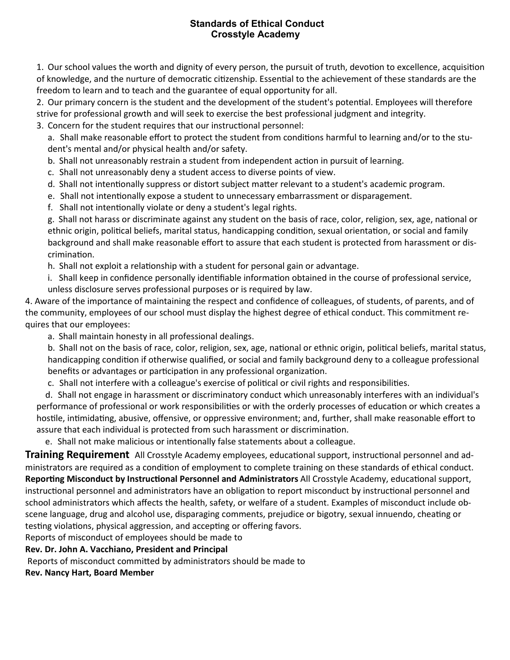## **Standards of Ethical Conduct Crosstyle Academy**

1. Our school values the worth and dignity of every person, the pursuit of truth, devotion to excellence, acquisition of knowledge, and the nurture of democratic citizenship. Essential to the achievement of these standards are the freedom to learn and to teach and the guarantee of equal opportunity for all.

2. Our primary concern is the student and the development of the student's potential. Employees will therefore strive for professional growth and will seek to exercise the best professional judgment and integrity.

3. Concern for the student requires that our instructional personnel:

a. Shall make reasonable effort to protect the student from conditions harmful to learning and/or to the student's mental and/or physical health and/or safety.

- b. Shall not unreasonably restrain a student from independent action in pursuit of learning.
- c. Shall not unreasonably deny a student access to diverse points of view.
- d. Shall not intentionally suppress or distort subject matter relevant to a student's academic program.
- e. Shall not intentionally expose a student to unnecessary embarrassment or disparagement.
- f. Shall not intentionally violate or deny a student's legal rights.

g. Shall not harass or discriminate against any student on the basis of race, color, religion, sex, age, national or ethnic origin, political beliefs, marital status, handicapping condition, sexual orientation, or social and family background and shall make reasonable effort to assure that each student is protected from harassment or discrimination.

- h. Shall not exploit a relationship with a student for personal gain or advantage.
- i. Shall keep in confidence personally identifiable information obtained in the course of professional service, unless disclosure serves professional purposes or is required by law.

4. Aware of the importance of maintaining the respect and confidence of colleagues, of students, of parents, and of the community, employees of our school must display the highest degree of ethical conduct. This commitment requires that our employees:

a. Shall maintain honesty in all professional dealings.

b. Shall not on the basis of race, color, religion, sex, age, national or ethnic origin, political beliefs, marital status, handicapping condition if otherwise qualified, or social and family background deny to a colleague professional benefits or advantages or participation in any professional organization.

c. Shall not interfere with a colleague's exercise of political or civil rights and responsibilities.

 d. Shall not engage in harassment or discriminatory conduct which unreasonably interferes with an individual's performance of professional or work responsibilities or with the orderly processes of education or which creates a hostile, intimidating, abusive, offensive, or oppressive environment; and, further, shall make reasonable effort to assure that each individual is protected from such harassment or discrimination.

e. Shall not make malicious or intentionally false statements about a colleague.

**Training Requirement** All Crosstyle Academy employees, educational support, instructional personnel and administrators are required as a condition of employment to complete training on these standards of ethical conduct. Reporting Misconduct by Instructional Personnel and Administrators All Crosstyle Academy, educational support, instructional personnel and administrators have an obligation to report misconduct by instructional personnel and school administrators which affects the health, safety, or welfare of a student. Examples of misconduct include obscene language, drug and alcohol use, disparaging comments, prejudice or bigotry, sexual innuendo, cheating or testing violations, physical aggression, and accepting or offering favors.

Reports of misconduct of employees should be made to

## **Rev. Dr. John A. Vacchiano, President and Principal**

Reports of misconduct committed by administrators should be made to

**Rev. Nancy Hart, Board Member**